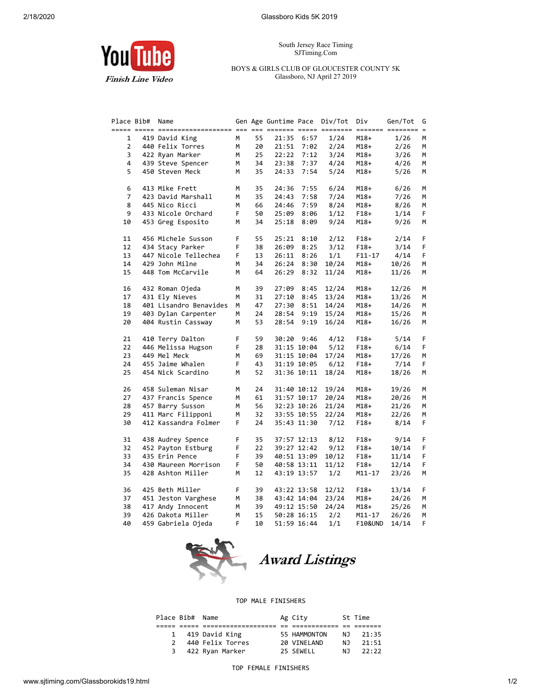South Jersey Race Timing SJTiming.Com

## BOYS & GIRLS CLUB OF GLOUCESTER COUNTY 5K Glassboro, NJ April 27 2019

You ube **Finish Line Video** 

| Place Bib#     | Name                   |    |    | Gen Age Guntime Pace Div/Tot |             |       | Div        | Gen/Tot | G  |
|----------------|------------------------|----|----|------------------------------|-------------|-------|------------|---------|----|
|                |                        |    |    |                              |             |       |            |         |    |
| 1              | 419 David King         | M  | 55 | 21:35                        | 6:57        | 1/24  | $M18+$     | 1/26    | м  |
| $\overline{2}$ | 440 Felix Torres       | М  | 20 | 21:51                        | 7:02        | 2/24  | M18+       | 2/26    | м  |
| 3              | 422 Ryan Marker        | M  | 25 | 22:22                        | 7:12        | 3/24  | $M18+$     | 3/26    | М  |
| 4              | 439 Steve Spencer      | M  | 34 | 23:38                        | 7:37        | 4/24  | $M18+$     | 4/26    | М  |
| 5              | 450 Steven Meck        | М  | 35 | 24:33                        | 7:54        | 5/24  | $M18+$     | 5/26    | М  |
|                |                        |    |    |                              |             |       |            |         |    |
| 6              | 413 Mike Frett         | М  | 35 | 24:36                        | 7:55        | 6/24  | $M18+$     | 6/26    | М  |
| $\overline{7}$ | 423 David Marshall     | M  | 35 | 24:43                        | 7:58        | 7/24  | $M18+$     | 7/26    | м  |
| 8              | 445 Nico Ricci         | M  | 66 | 24:46                        | 7:59        | 8/24  | M18+       | 8/26    | М  |
| 9              | 433 Nicole Orchard     | F  | 50 | 25:09                        | 8:06        | 1/12  | $F18+$     | 1/14    | F. |
| 10             | 453 Greg Esposito      | M  | 34 | 25:18                        | 8:09        | 9/24  | $M18+$     | 9/26    | м  |
|                |                        |    |    |                              |             |       |            |         |    |
| 11             | 456 Michele Susson     | F  | 55 | 25:21                        | 8:10        | 2/12  | $F18+$     | 2/14    | F  |
| 12             | 434 Stacy Parker       | F  | 38 | 26:09                        | 8:25        | 3/12  | $F18+$     | 3/14    | F  |
| 13             | 447 Nicole Tellechea   | F  | 13 | 26:11                        | 8:26        | 1/1   | $F11 - 17$ | 4/14    | F  |
| 14             | 429 John Milne         | M  | 34 | 26:24                        | 8:30        | 10/24 | $M18+$     | 10/26   | М  |
| 15             | 448 Tom McCarvile      | M  | 64 | 26:29                        | 8:32        | 11/24 | $M18+$     | 11/26   | M  |
|                |                        |    |    |                              |             |       |            |         |    |
| 16             |                        | M  | 39 | 27:09                        | 8:45        | 12/24 |            |         | M  |
| 17             | 432 Roman Ojeda        |    |    |                              |             |       | M18+       | 12/26   |    |
|                | 431 Ely Nieves         | M  | 31 | 27:10                        | 8:45        | 13/24 | $M18+$     | 13/26   | М  |
| 18             | 401 Lisandro Benavides | M  | 47 | 27:30                        | 8:51        | 14/24 | M18+       | 14/26   | М  |
| 19             | 403 Dylan Carpenter    | М  | 24 | 28:54                        | 9:19        | 15/24 | $M18+$     | 15/26   | М  |
| 20             | 404 Rustin Cassway     | М  | 53 | 28:54                        | 9:19        | 16/24 | $M18+$     | 16/26   | М  |
|                |                        |    |    |                              |             |       |            |         |    |
| 21             | 410 Terry Dalton       | F  | 59 | 30:20                        | 9:46        | 4/12  | $F18+$     | 5/14    | F  |
| 22             | 446 Melissa Hugson     | F  | 28 |                              | 31:15 10:04 | 5/12  | $F18+$     | 6/14    | F  |
| 23             | 449 Mel Meck           | M  | 69 |                              | 31:15 10:04 | 17/24 | $M18+$     | 17/26   | M  |
| 24             | 455 Jaime Whalen       | F. | 43 |                              | 31:19 10:05 | 6/12  | $F18+$     | 7/14    | F  |
| 25             | 454 Nick Scardino      | M  | 52 |                              | 31:36 10:11 | 18/24 | M18+       | 18/26   | м  |
|                |                        |    |    |                              |             |       |            |         |    |
| 26             | 458 Suleman Nisar      | M  | 24 |                              | 31:40 10:12 | 19/24 | $M18+$     | 19/26   | М  |
| 27             | 437 Francis Spence     | M  | 61 |                              | 31:57 10:17 | 20/24 | $M18+$     | 20/26   | М  |
| 28             | 457 Barry Susson       | M  | 56 |                              | 32:23 10:26 | 21/24 | $M18+$     | 21/26   | М  |
| 29             | 411 Marc Filipponi     | M  | 32 |                              | 33:55 10:55 | 22/24 | $M18+$     | 22/26   | М  |
| 30             | 412 Kassandra Folmer   | F  | 24 |                              | 35:43 11:30 | 7/12  | $F18+$     | 8/14    | F  |
|                |                        |    |    |                              |             |       |            |         |    |
| 31             | 438 Audrey Spence      | F  | 35 |                              | 37:57 12:13 | 8/12  | $F18+$     | 9/14    | F  |
| 32             | 452 Payton Estburg     | F  | 22 |                              | 39:27 12:42 | 9/12  | $F18+$     | 10/14   | F  |
| 33             | 435 Erin Pence         | F  | 39 |                              | 40:51 13:09 | 10/12 | $F18+$     | 11/14   | F. |
| 34             | 430 Maureen Morrison   | F. | 50 |                              | 40:58 13:11 | 11/12 | $F18+$     | 12/14   | F. |
| 35             | 428 Ashton Miller      | M  | 12 |                              | 43:19 13:57 | 1/2   | $M11 - 17$ | 23/26   | М  |
|                |                        |    |    |                              |             |       |            |         |    |
| 36             | 425 Beth Miller        | F  | 39 |                              | 43:22 13:58 | 12/12 | $F18+$     | 13/14   | F  |
| 37             | 451 Jeston Varghese    | M  | 38 |                              | 43:42 14:04 | 23/24 | $M18+$     | 24/26   | М  |
| 38             | 417 Andy Innocent      | М  | 39 |                              | 49:12 15:50 | 24/24 | $M18+$     | 25/26   | м  |
| 39             | 426 Dakota Miller      | M  | 15 |                              | 50:28 16:15 | 2/2   | M11-17     | 26/26   | M  |
| 40             | 459 Gabriela Ojeda     | F  | 10 |                              | 51:59 16:44 | 1/1   | F10&UND    | 14/14   | F  |



**Award Listings** 

## TOP MALE FINISHERS

| Place Bib# Name |                  | Ag City      |     | St Time |
|-----------------|------------------|--------------|-----|---------|
|                 |                  |              |     |         |
| $\mathbf{1}$    | 419 David King   | 55 HAMMONTON | N J | 21:35   |
| $\mathcal{P}$   | 440 Felix Torres | 20 VINELAND  | N J | 21:51   |
| 3               | 422 Ryan Marker  | 25 SEWELL    | N J | 22:22   |
|                 |                  |              |     |         |